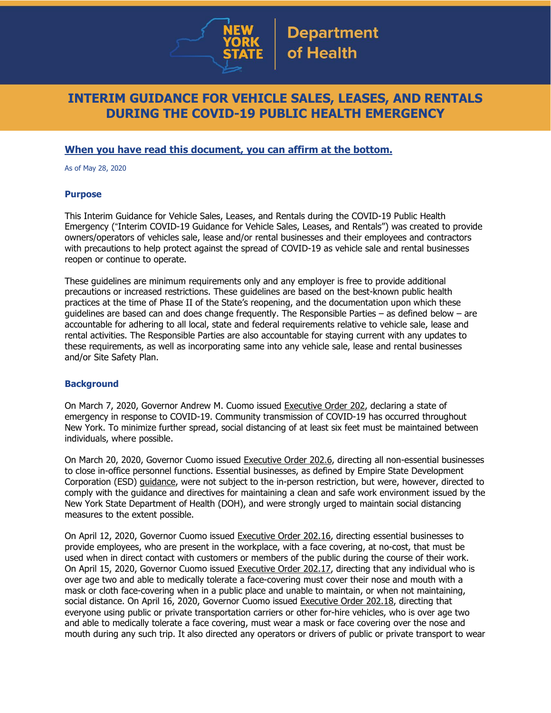

# **INTERIM GUIDANCE FOR VEHICLE SALES, LEASES, AND RENTALS DURING THE COVID-19 PUBLIC HEALTH EMERGENCY**

## **When you have read this document, you can affirm at the bottom.**

As of May 28, 2020

#### **Purpose**

This Interim Guidance for Vehicle Sales, Leases, and Rentals during the COVID-19 Public Health Emergency ("Interim COVID-19 Guidance for Vehicle Sales, Leases, and Rentals") was created to provide owners/operators of vehicles sale, lease and/or rental businesses and their employees and contractors with precautions to help protect against the spread of COVID-19 as vehicle sale and rental businesses reopen or continue to operate.

These guidelines are minimum requirements only and any employer is free to provide additional precautions or increased restrictions. These guidelines are based on the best-known public health practices at the time of Phase II of the State's reopening, and the documentation upon which these guidelines are based can and does change frequently. The Responsible Parties – as defined below – are accountable for adhering to all local, state and federal requirements relative to vehicle sale, lease and rental activities. The Responsible Parties are also accountable for staying current with any updates to these requirements, as well as incorporating same into any vehicle sale, lease and rental businesses and/or Site Safety Plan.

#### **Background**

On March 7, 2020, Governor Andrew M. Cuomo issued [Executive](https://www.governor.ny.gov/news/no-202-declaring-disaster-emergency-state-new-york) Order 202, declaring a state of emergency in response to COVID-19. Community transmission of COVID-19 has occurred throughout New York. To minimize further spread, social distancing of at least six feet must be maintained between individuals, where possible.

On March 20, 2020, Governor Cuomo issued [Executive](https://www.governor.ny.gov/news/no-2026-continuing-temporary-suspension-and-modification-laws-relating-disaster-emergency) Order 202.6, directing all non-essential businesses to close in-office personnel functions. Essential businesses, as defined by Empire State Development Corporation (ESD) [guidance,](https://esd.ny.gov/guidance-executive-order-2026) were not subject to the in-person restriction, but were, however, directed to comply with the guidance and directives for maintaining a clean and safe work environment issued by the New York State Department of Health (DOH), and were strongly urged to maintain social distancing measures to the extent possible.

On April 12, 2020, Governor Cuomo issued [Executive](https://www.governor.ny.gov/news/no-20216-continuing-temporary-suspension-and-modification-laws-relating-disaster-emergency) Order 202.16, directing essential businesses to provide employees, who are present in the workplace, with a face covering, at no-cost, that must be used when in direct contact with customers or members of the public during the course of their work. On April 15, 2020, Governor Cuomo issued [Executive](https://www.governor.ny.gov/news/no-20217-continuing-temporary-suspension-and-modification-laws-relating-disaster-emergency) Order 202.17, directing that any individual who is over age two and able to medically tolerate a face-covering must cover their nose and mouth with a mask or cloth face-covering when in a public place and unable to maintain, or when not maintaining, social distance. On April 16, 2020, Governor Cuomo issued [Executive](https://www.governor.ny.gov/news/no-20218-continuing-temporary-suspension-and-modification-laws-relating-disaster-emergency) Order 202.18, directing that everyone using public or private transportation carriers or other for-hire vehicles, who is over age two and able to medically tolerate a face covering, must wear a mask or face covering over the nose and mouth during any such trip. It also directed any operators or drivers of public or private transport to wear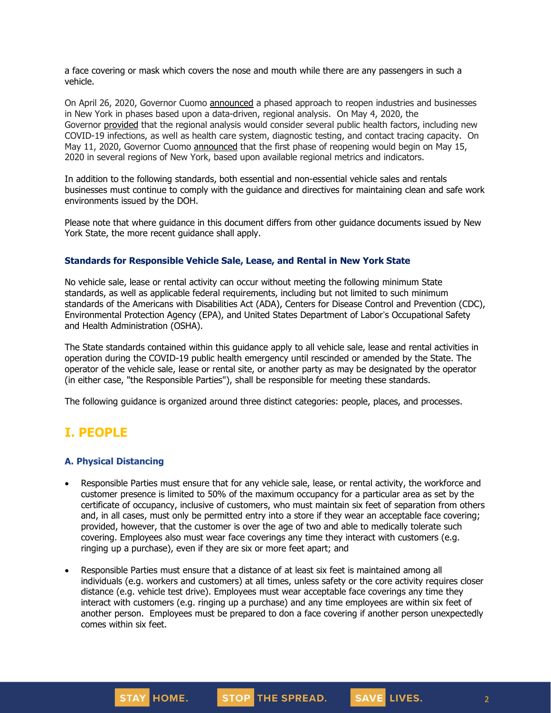a face covering or mask which covers the nose and mouth while there are any passengers in such a vehicle.

On April 26, 2020, Governor Cuomo [announced](https://www.governor.ny.gov/news/amid-ongoing-covid-19-pandemic-governor-cuomo-outlines-phased-plan-re-open-new-york-starting) a phased approach to reopen industries and businesses in New York in phases based upon a data-driven, regional analysis. On May 4, 2020, the Governor [provided](https://www.governor.ny.gov/news/amid-ongoing-covid-19-pandemic-governor-cuomo-outlines-additional-guidelines-when-regions-can) that the regional analysis would consider several public health factors, including new COVID-19 infections, as well as health care system, diagnostic testing, and contact tracing capacity. On May 11, 2020, Governor Cuomo [announced](https://www.governor.ny.gov/news/amid-ongoing-covid-19-pandemic-governor-cuomo-announces-three-regions-new-york-state-ready) that the first phase of reopening would begin on May 15, 2020 in several regions of New York, based upon available regional metrics and indicators.

In addition to the following standards, both essential and non-essential vehicle sales and rentals businesses must continue to comply with the guidance and directives for maintaining clean and safe work environments issued by the DOH.

Please note that where guidance in this document differs from other guidance documents issued by New York State, the more recent guidance shall apply.

#### **Standards for Responsible Vehicle Sale, Lease, and Rental in New York State**

No vehicle sale, lease or rental activity can occur without meeting the following minimum State standards, as well as applicable federal requirements, including but not limited to such minimum standards of the Americans with Disabilities Act (ADA), Centers for Disease Control and Prevention (CDC), Environmental Protection Agency (EPA), and United States Department of Labor's Occupational Safety and Health Administration (OSHA).

The State standards contained within this guidance apply to all vehicle sale, lease and rental activities in operation during the COVID-19 public health emergency until rescinded or amended by the State. The operator of the vehicle sale, lease or rental site, or another party as may be designated by the operator (in either case, "the Responsible Parties"), shall be responsible for meeting these standards.

The following guidance is organized around three distinct categories: people, places, and processes.

## **I. PEOPLE**

### **A. Physical Distancing**

- Responsible Parties must ensure that for any vehicle sale, lease, or rental activity, the workforce and customer presence is limited to 50% of the maximum occupancy for a particular area as set by the certificate of occupancy, inclusive of customers, who must maintain six feet of separation from others and, in all cases, must only be permitted entry into a store if they wear an acceptable face covering; provided, however, that the customer is over the age of two and able to medically tolerate such covering. Employees also must wear face coverings any time they interact with customers (e.g. ringing up a purchase), even if they are six or more feet apart; and
- Responsible Parties must ensure that a distance of at least six feet is maintained among all individuals (e.g. workers and customers) at all times, unless safety or the core activity requires closer distance (e.g. vehicle test drive). Employees must wear acceptable face coverings any time they interact with customers (e.g. ringing up a purchase) and any time employees are within six feet of another person. Employees must be prepared to don a face covering if another person unexpectedly comes within six feet.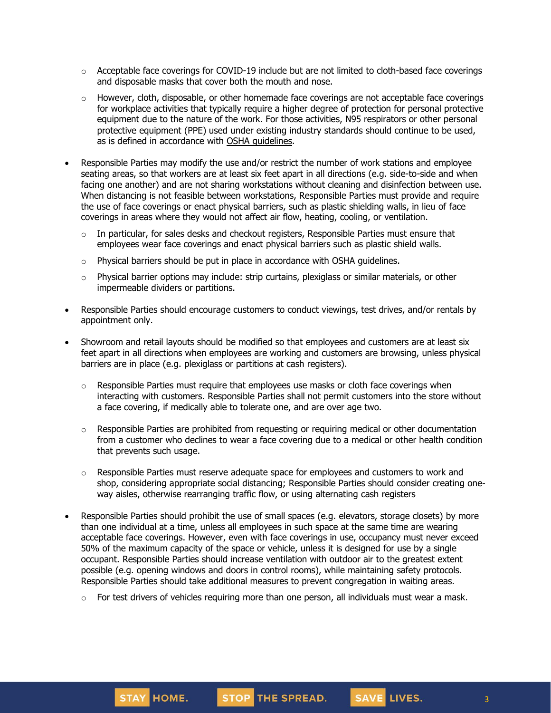- $\circ$  Acceptable face coverings for COVID-19 include but are not limited to cloth-based face coverings and disposable masks that cover both the mouth and nose.
- $\circ$  However, cloth, disposable, or other homemade face coverings are not acceptable face coverings for workplace activities that typically require a higher degree of protection for personal protective equipment due to the nature of the work. For those activities, N95 respirators or other personal protective equipment (PPE) used under existing industry standards should continue to be used, as is defined in accordance with OSHA [guidelines.](https://www.osha.gov/SLTC/personalprotectiveequipment/)
- Responsible Parties may modify the use and/or restrict the number of work stations and employee seating areas, so that workers are at least six feet apart in all directions (e.g. side-to-side and when facing one another) and are not sharing workstations without cleaning and disinfection between use. When distancing is not feasible between workstations, Responsible Parties must provide and require the use of face coverings or enact physical barriers, such as plastic shielding walls, in lieu of face coverings in areas where they would not affect air flow, heating, cooling, or ventilation.
	- $\circ$  In particular, for sales desks and checkout registers, Responsible Parties must ensure that employees wear face coverings and enact physical barriers such as plastic shield walls.
	- $\circ$  Physical barriers should be put in place in accordance with OSHA quidelines.
	- o Physical barrier options may include: strip curtains, plexiglass or similar materials, or other impermeable dividers or partitions.
- Responsible Parties should encourage customers to conduct viewings, test drives, and/or rentals by appointment only.
- Showroom and retail layouts should be modified so that employees and customers are at least six feet apart in all directions when employees are working and customers are browsing, unless physical barriers are in place (e.g. plexiglass or partitions at cash registers).
	- o Responsible Parties must require that employees use masks or cloth face coverings when interacting with customers. Responsible Parties shall not permit customers into the store without a face covering, if medically able to tolerate one, and are over age two.
	- $\circ$  Responsible Parties are prohibited from requesting or requiring medical or other documentation from a customer who declines to wear a face covering due to a medical or other health condition that prevents such usage.
	- $\circ$  Responsible Parties must reserve adequate space for employees and customers to work and shop, considering appropriate social distancing; Responsible Parties should consider creating oneway aisles, otherwise rearranging traffic flow, or using alternating cash registers
- Responsible Parties should prohibit the use of small spaces (e.g. elevators, storage closets) by more than one individual at a time, unless all employees in such space at the same time are wearing acceptable face coverings. However, even with face coverings in use, occupancy must never exceed 50% of the maximum capacity of the space or vehicle, unless it is designed for use by a single occupant. Responsible Parties should increase ventilation with outdoor air to the greatest extent possible (e.g. opening windows and doors in control rooms), while maintaining safety protocols. Responsible Parties should take additional measures to prevent congregation in waiting areas.
	- $\circ$  For test drivers of vehicles requiring more than one person, all individuals must wear a mask.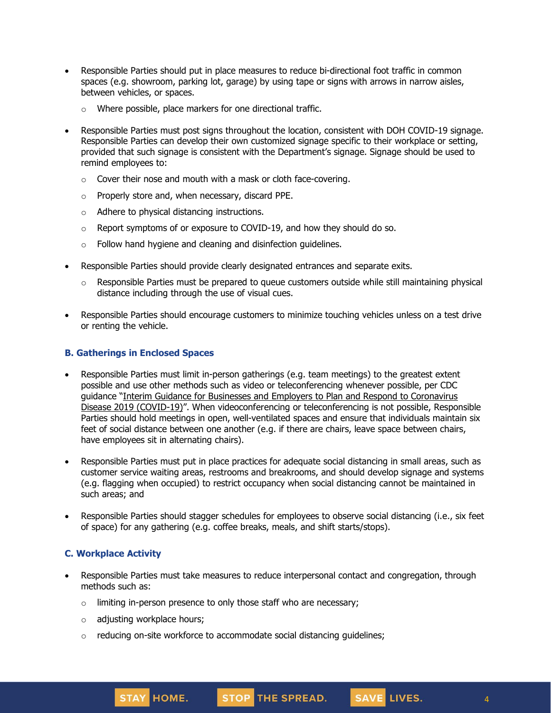- Responsible Parties should put in place measures to reduce bi-directional foot traffic in common spaces (e.g. showroom, parking lot, garage) by using tape or signs with arrows in narrow aisles, between vehicles, or spaces.
	- o Where possible, place markers for one directional traffic.
- Responsible Parties must post signs throughout the location, consistent with DOH COVID-19 signage. Responsible Parties can develop their own customized signage specific to their workplace or setting, provided that such signage is consistent with the Department's signage. Signage should be used to remind employees to:
	- o Cover their nose and mouth with a mask or cloth face-covering.
	- o Properly store and, when necessary, discard PPE.
	- o Adhere to physical distancing instructions.
	- $\circ$  Report symptoms of or exposure to COVID-19, and how they should do so.
	- $\circ$  Follow hand hygiene and cleaning and disinfection guidelines.
- Responsible Parties should provide clearly designated entrances and separate exits.
	- $\circ$  Responsible Parties must be prepared to queue customers outside while still maintaining physical distance including through the use of visual cues.
- Responsible Parties should encourage customers to minimize touching vehicles unless on a test drive or renting the vehicle.

#### **B. Gatherings in Enclosed Spaces**

- Responsible Parties must limit in-person gatherings (e.g. team meetings) to the greatest extent possible and use other methods such as video or teleconferencing whenever possible, per CDC guidance "Interim Guidance for Businesses and Employers to Plan and Respond to [Coronavirus](https://www.cdc.gov/coronavirus/2019-ncov/community/guidance-business-response.html) Disease 2019 [\(COVID-19\)](https://www.cdc.gov/coronavirus/2019-ncov/community/guidance-business-response.html)". When videoconferencing or teleconferencing is not possible, Responsible Parties should hold meetings in open, well-ventilated spaces and ensure that individuals maintain six feet of social distance between one another (e.g. if there are chairs, leave space between chairs, have employees sit in alternating chairs).
- Responsible Parties must put in place practices for adequate social distancing in small areas, such as customer service waiting areas, restrooms and breakrooms, and should develop signage and systems (e.g. flagging when occupied) to restrict occupancy when social distancing cannot be maintained in such areas; and
- Responsible Parties should stagger schedules for employees to observe social distancing (i.e., six feet of space) for any gathering (e.g. coffee breaks, meals, and shift starts/stops).

#### **C. Workplace Activity**

- Responsible Parties must take measures to reduce interpersonal contact and congregation, through methods such as:
	- $\circ$  limiting in-person presence to only those staff who are necessary;
	- o adjusting workplace hours;
	- o reducing on-site workforce to accommodate social distancing guidelines;

4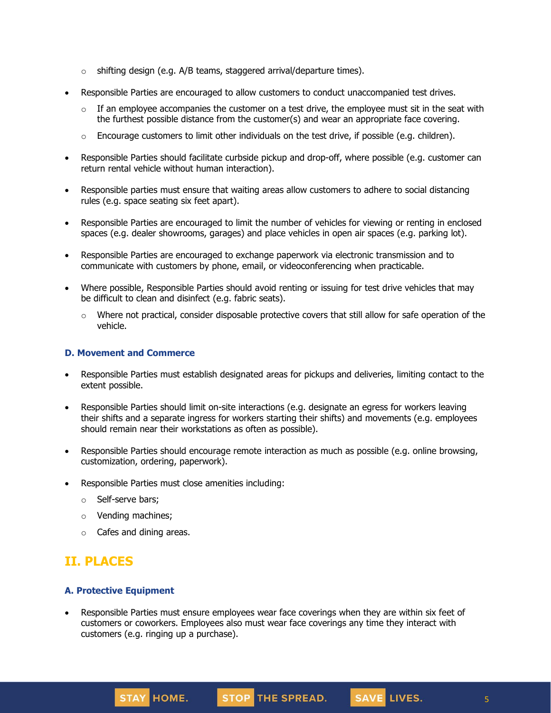- o shifting design (e.g. A/B teams, staggered arrival/departure times).
- Responsible Parties are encouraged to allow customers to conduct unaccompanied test drives.
	- $\circ$  If an employee accompanies the customer on a test drive, the employee must sit in the seat with the furthest possible distance from the customer(s) and wear an appropriate face covering.
	- $\circ$  Encourage customers to limit other individuals on the test drive, if possible (e.g. children).
- Responsible Parties should facilitate curbside pickup and drop-off, where possible (e.g. customer can return rental vehicle without human interaction).
- Responsible parties must ensure that waiting areas allow customers to adhere to social distancing rules (e.g. space seating six feet apart).
- Responsible Parties are encouraged to limit the number of vehicles for viewing or renting in enclosed spaces (e.g. dealer showrooms, garages) and place vehicles in open air spaces (e.g. parking lot).
- Responsible Parties are encouraged to exchange paperwork via electronic transmission and to communicate with customers by phone, email, or videoconferencing when practicable.
- Where possible, Responsible Parties should avoid renting or issuing for test drive vehicles that may be difficult to clean and disinfect (e.g. fabric seats).
	- $\circ$  Where not practical, consider disposable protective covers that still allow for safe operation of the vehicle.

#### **D. Movement and Commerce**

- Responsible Parties must establish designated areas for pickups and deliveries, limiting contact to the extent possible.
- Responsible Parties should limit on-site interactions (e.g. designate an egress for workers leaving their shifts and a separate ingress for workers starting their shifts) and movements (e.g. employees should remain near their workstations as often as possible).
- Responsible Parties should encourage remote interaction as much as possible (e.g. online browsing, customization, ordering, paperwork).
- Responsible Parties must close amenities including:
	- o Self-serve bars;
	- o Vending machines;
	- o Cafes and dining areas.

## **II. PLACES**

### **A. Protective Equipment**

• Responsible Parties must ensure employees wear face coverings when they are within six feet of customers or coworkers. Employees also must wear face coverings any time they interact with customers (e.g. ringing up a purchase).



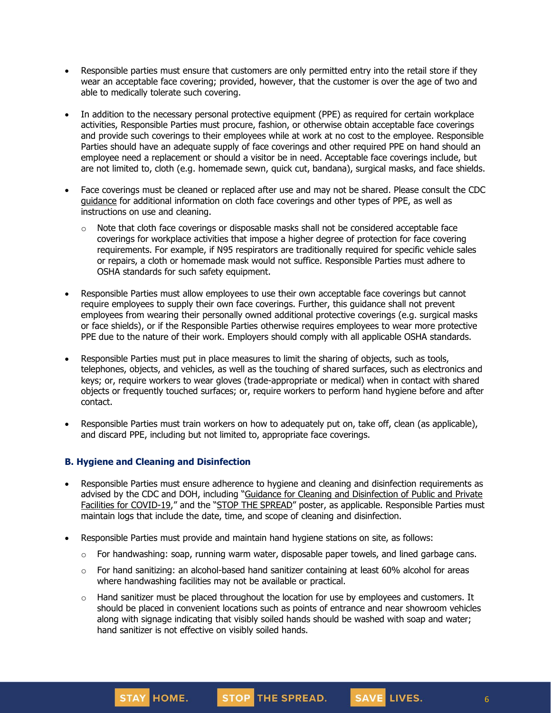- Responsible parties must ensure that customers are only permitted entry into the retail store if they wear an acceptable face covering; provided, however, that the customer is over the age of two and able to medically tolerate such covering.
- In addition to the necessary personal protective equipment (PPE) as required for certain workplace activities, Responsible Parties must procure, fashion, or otherwise obtain acceptable face coverings and provide such coverings to their employees while at work at no cost to the employee. Responsible Parties should have an adequate supply of face coverings and other required PPE on hand should an employee need a replacement or should a visitor be in need. Acceptable face coverings include, but are not limited to, cloth (e.g. homemade sewn, quick cut, bandana), surgical masks, and face shields.
- Face coverings must be cleaned or replaced after use and may not be shared. Please consult the CDC [guidance](https://www.cdc.gov/coronavirus/2019-ncov/community/guidance-business-response.html) for additional information on cloth face coverings and other types of PPE, as well as instructions on use and cleaning.
	- $\circ$  Note that cloth face coverings or disposable masks shall not be considered acceptable face coverings for workplace activities that impose a higher degree of protection for face covering requirements. For example, if N95 respirators are traditionally required for specific vehicle sales or repairs, a cloth or homemade mask would not suffice. Responsible Parties must adhere to OSHA standards for such safety equipment.
- Responsible Parties must allow employees to use their own acceptable face coverings but cannot require employees to supply their own face coverings. Further, this guidance shall not prevent employees from wearing their personally owned additional protective coverings (e.g. surgical masks or face shields), or if the Responsible Parties otherwise requires employees to wear more protective PPE due to the nature of their work. Employers should comply with all applicable OSHA standards.
- Responsible Parties must put in place measures to limit the sharing of objects, such as tools, telephones, objects, and vehicles, as well as the touching of shared surfaces, such as electronics and keys; or, require workers to wear gloves (trade-appropriate or medical) when in contact with shared objects or frequently touched surfaces; or, require workers to perform hand hygiene before and after contact.
- Responsible Parties must train workers on how to adequately put on, take off, clean (as applicable), and discard PPE, including but not limited to, appropriate face coverings.

### **B. Hygiene and Cleaning and Disinfection**

STAY HOME.

- Responsible Parties must ensure adherence to hygiene and cleaning and disinfection requirements as advised by the CDC and DOH, including "Guidance for Cleaning and [Disinfection](https://coronavirus.health.ny.gov/system/files/documents/2020/03/cleaning_guidance_general_building.pdf) of Public and Private Facilities for [COVID-19](https://coronavirus.health.ny.gov/system/files/documents/2020/03/cleaning_guidance_general_building.pdf)," and the "STOP THE [SPREAD](https://coronavirus.health.ny.gov/system/files/documents/2020/04/13067_coronavirus_protectyourself_poster_042020.pdf)" poster, as applicable. Responsible Parties must maintain logs that include the date, time, and scope of cleaning and disinfection.
- Responsible Parties must provide and maintain hand hygiene stations on site, as follows:
	- $\circ$  For handwashing: soap, running warm water, disposable paper towels, and lined garbage cans.
	- $\circ$  For hand sanitizing: an alcohol-based hand sanitizer containing at least 60% alcohol for areas where handwashing facilities may not be available or practical.
	- $\circ$  Hand sanitizer must be placed throughout the location for use by employees and customers. It should be placed in convenient locations such as points of entrance and near showroom vehicles along with signage indicating that visibly soiled hands should be washed with soap and water; hand sanitizer is not effective on visibly soiled hands.

STOP THE SPREAD.

6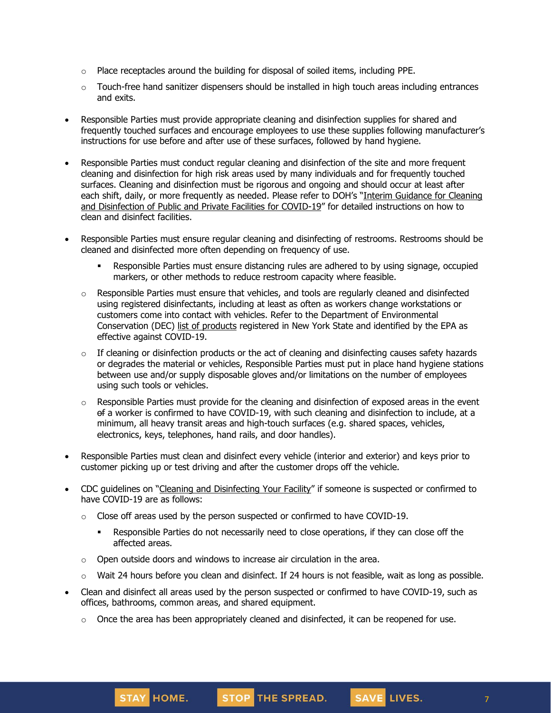- $\circ$  Place receptacles around the building for disposal of soiled items, including PPE.
- $\circ$  Touch-free hand sanitizer dispensers should be installed in high touch areas including entrances and exits.
- Responsible Parties must provide appropriate cleaning and disinfection supplies for shared and frequently touched surfaces and encourage employees to use these supplies following manufacturer's instructions for use before and after use of these surfaces, followed by hand hygiene.
- Responsible Parties must conduct regular cleaning and disinfection of the site and more frequent cleaning and disinfection for high risk areas used by many individuals and for frequently touched surfaces. Cleaning and disinfection must be rigorous and ongoing and should occur at least after each shift, daily, or more frequently as needed. Please refer to DOH's "Interim [Guidance](https://coronavirus.health.ny.gov/system/files/documents/2020/03/cleaning_guidance_general_building.pdf) for Cleaning and [Disinfection](https://coronavirus.health.ny.gov/system/files/documents/2020/03/cleaning_guidance_general_building.pdf) of Public and Private Facilities for COVID-19" for detailed instructions on how to clean and disinfect facilities.
- Responsible Parties must ensure regular cleaning and disinfecting of restrooms. Restrooms should be cleaned and disinfected more often depending on frequency of use.
	- Responsible Parties must ensure distancing rules are adhered to by using signage, occupied markers, or other methods to reduce restroom capacity where feasible.
	- $\circ$  Responsible Parties must ensure that vehicles, and tools are regularly cleaned and disinfected using registered disinfectants, including at least as often as workers change workstations or customers come into contact with vehicles. Refer to the Department of Environmental Conservation (DEC) list of [products](http://www.dec.ny.gov/docs/materials_minerals_pdf/covid19.pdf) registered in New York State and identified by the EPA as effective against COVID-19.
	- $\circ$  If cleaning or disinfection products or the act of cleaning and disinfecting causes safety hazards or degrades the material or vehicles, Responsible Parties must put in place hand hygiene stations between use and/or supply disposable gloves and/or limitations on the number of employees using such tools or vehicles.
	- $\circ$  Responsible Parties must provide for the cleaning and disinfection of exposed areas in the event of a worker is confirmed to have COVID-19, with such cleaning and disinfection to include, at a minimum, all heavy transit areas and high-touch surfaces (e.g. shared spaces, vehicles, electronics, keys, telephones, hand rails, and door handles).
- Responsible Parties must clean and disinfect every vehicle (interior and exterior) and keys prior to customer picking up or test driving and after the customer drops off the vehicle.
- CDC guidelines on "Cleaning and [Disinfecting](https://www.cdc.gov/coronavirus/2019-ncov/community/disinfecting-building-facility.html) Your Facility" if someone is suspected or confirmed to have COVID-19 are as follows:
	- $\circ$  Close off areas used by the person suspected or confirmed to have COVID-19.
		- **•** Responsible Parties do not necessarily need to close operations, if they can close off the affected areas.
	- o Open outside doors and windows to increase air circulation in the area.
	- $\circ$  Wait 24 hours before you clean and disinfect. If 24 hours is not feasible, wait as long as possible.
- Clean and disinfect all areas used by the person suspected or confirmed to have COVID-19, such as offices, bathrooms, common areas, and shared equipment.
	- $\circ$  Once the area has been appropriately cleaned and disinfected, it can be reopened for use.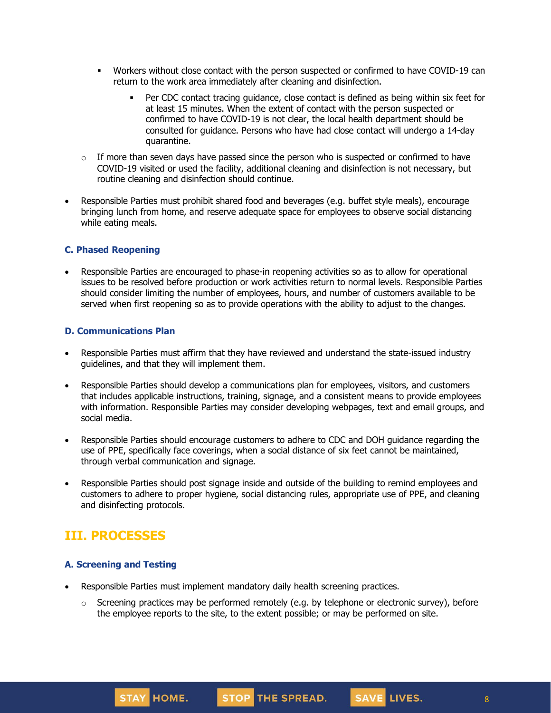- Workers without close contact with the person suspected or confirmed to have COVID-19 can return to the work area immediately after cleaning and disinfection.
	- Per CDC contact tracing guidance, close contact is defined as being within six feet for at least 15 minutes. When the extent of contact with the person suspected or confirmed to have COVID-19 is not clear, the local health department should be consulted for guidance. Persons who have had close contact will undergo a 14-day quarantine.
- $\circ$  If more than seven days have passed since the person who is suspected or confirmed to have COVID-19 visited or used the facility, additional cleaning and disinfection is not necessary, but routine cleaning and disinfection should continue.
- Responsible Parties must prohibit shared food and beverages (e.g. buffet style meals), encourage bringing lunch from home, and reserve adequate space for employees to observe social distancing while eating meals.

#### **C. Phased Reopening**

• Responsible Parties are encouraged to phase-in reopening activities so as to allow for operational issues to be resolved before production or work activities return to normal levels. Responsible Parties should consider limiting the number of employees, hours, and number of customers available to be served when first reopening so as to provide operations with the ability to adjust to the changes.

#### **D. Communications Plan**

- Responsible Parties must affirm that they have reviewed and understand the state-issued industry guidelines, and that they will implement them.
- Responsible Parties should develop a communications plan for employees, visitors, and customers that includes applicable instructions, training, signage, and a consistent means to provide employees with information. Responsible Parties may consider developing webpages, text and email groups, and social media.
- Responsible Parties should encourage customers to adhere to CDC and DOH guidance regarding the use of PPE, specifically face coverings, when a social distance of six feet cannot be maintained, through verbal communication and signage.
- Responsible Parties should post signage inside and outside of the building to remind employees and customers to adhere to proper hygiene, social distancing rules, appropriate use of PPE, and cleaning and disinfecting protocols.

## **III. PROCESSES**

### **A. Screening and Testing**

- Responsible Parties must implement mandatory daily health screening practices.
	- $\circ$  Screening practices may be performed remotely (e.g. by telephone or electronic survey), before the employee reports to the site, to the extent possible; or may be performed on site.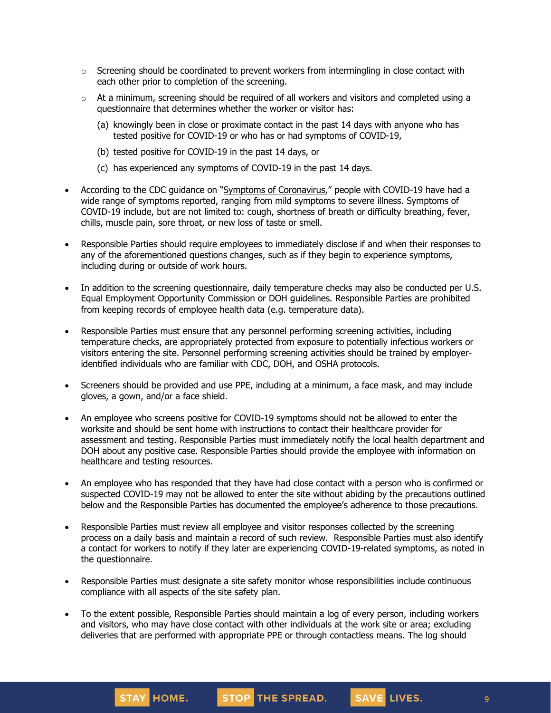- $\circ$  Screening should be coordinated to prevent workers from intermingling in close contact with each other prior to completion of the screening.
- $\circ$  At a minimum, screening should be required of all workers and visitors and completed using a questionnaire that determines whether the worker or visitor has:
	- (a) knowingly been in close or proximate contact in the past 14 days with anyone who has tested positive for COVID-19 or who has or had symptoms of COVID-19,
	- (b) tested positive for COVID-19 in the past 14 days, or
	- (c) has experienced any symptoms of COVID-19 in the past 14 days.
- According to the CDC guidance on "Symptoms of [Coronavirus](https://www.cdc.gov/coronavirus/2019-ncov/symptoms-testing/symptoms.html)," people with COVID-19 have had a wide range of symptoms reported, ranging from mild symptoms to severe illness. Symptoms of COVID-19 include, but are not limited to: cough, shortness of breath or difficulty breathing, fever, chills, muscle pain, sore throat, or new loss of taste or smell.
- Responsible Parties should require employees to immediately disclose if and when their responses to any of the aforementioned questions changes, such as if they begin to experience symptoms, including during or outside of work hours.
- In addition to the screening questionnaire, daily temperature checks may also be conducted per U.S. Equal Employment Opportunity Commission or DOH guidelines. Responsible Parties are prohibited from keeping records of employee health data (e.g. temperature data).
- Responsible Parties must ensure that any personnel performing screening activities, including temperature checks, are appropriately protected from exposure to potentially infectious workers or visitors entering the site. Personnel performing screening activities should be trained by employeridentified individuals who are familiar with CDC, DOH, and OSHA protocols.
- Screeners should be provided and use PPE, including at a minimum, a face mask, and may include gloves, a gown, and/or a face shield.
- An employee who screens positive for COVID-19 symptoms should not be allowed to enter the worksite and should be sent home with instructions to contact their healthcare provider for assessment and testing. Responsible Parties must immediately notify the local health department and DOH about any positive case. Responsible Parties should provide the employee with information on healthcare and testing resources.
- An employee who has responded that they have had close contact with a person who is confirmed or suspected COVID-19 may not be allowed to enter the site without abiding by the precautions outlined below and the Responsible Parties has documented the employee's adherence to those precautions.
- Responsible Parties must review all employee and visitor responses collected by the screening process on a daily basis and maintain a record of such review. Responsible Parties must also identify a contact for workers to notify if they later are experiencing COVID-19-related symptoms, as noted in the questionnaire.
- Responsible Parties must designate a site safety monitor whose responsibilities include continuous compliance with all aspects of the site safety plan.
- To the extent possible, Responsible Parties should maintain a log of every person, including workers and visitors, who may have close contact with other individuals at the work site or area; excluding deliveries that are performed with appropriate PPE or through contactless means. The log should

STAY HOME.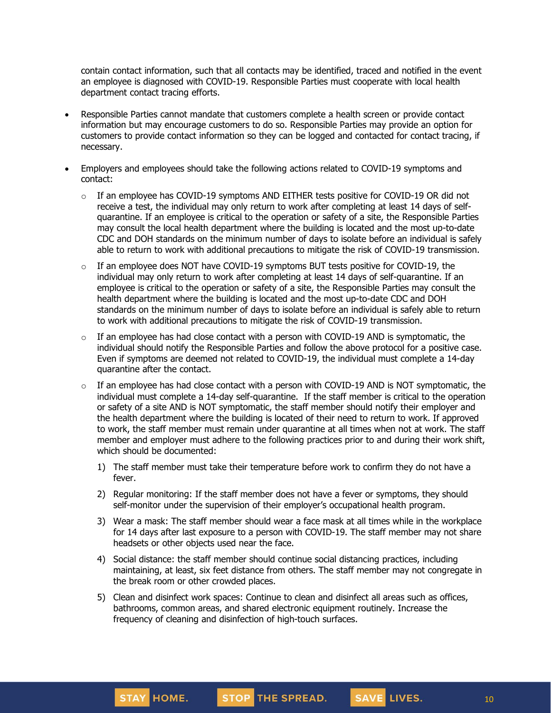contain contact information, such that all contacts may be identified, traced and notified in the event an employee is diagnosed with COVID-19. Responsible Parties must cooperate with local health department contact tracing efforts.

- Responsible Parties cannot mandate that customers complete a health screen or provide contact information but may encourage customers to do so. Responsible Parties may provide an option for customers to provide contact information so they can be logged and contacted for contact tracing, if necessary.
- Employers and employees should take the following actions related to COVID-19 symptoms and contact:
	- $\circ$  If an employee has COVID-19 symptoms AND EITHER tests positive for COVID-19 OR did not receive a test, the individual may only [return](https://www.cdc.gov/coronavirus/2019-ncov/hcp/return-to-work.html) to work after completing at least 14 days of selfquarantine. If an employee is critical to the operation or safety of a site, the Responsible Parties may consult the local health department where the building is located and the most up-to-date CDC and DOH standards on the minimum number of days to isolate before an individual is safely able to return to work with additional precautions to mitigate the risk of COVID-19 transmission.
	- $\circ$  If an employee does NOT have COVID-19 symptoms BUT tests positive for COVID-19, the individual may only return to work after completing at least 14 days of self-quarantine. If an employee is critical to the operation or safety of a site, the Responsible Parties may consult the health department where the building is located and the most up-to-date CDC and DOH standards on the minimum number of days to isolate before an individual is safely able to return to work with additional precautions to mitigate the risk of COVID-19 transmission.
	- $\circ$  If an employee has had close contact with a person with COVID-19 AND is symptomatic, the individual should notify the Responsible Parties and follow the above protocol for a positive case. Even if symptoms are deemed not related to COVID-19, the individual must complete a 14-day quarantine after the contact.
	- $\circ$  If an employee has had close contact with a person with COVID-19 AND is NOT symptomatic, the individual must complete a 14-day self-quarantine. If the staff member is critical to the operation or safety of a site AND is NOT symptomatic, the staff member should notify their employer and the health department where the building is located of their need to return to work. If approved to work, the staff member must remain under quarantine at all times when not at work. The staff member and employer must adhere to the following practices prior to and during their work shift, which should be documented:
		- 1) The staff member must take their temperature before work to confirm they do not have a fever.
		- 2) Regular monitoring: If the staff member does not have a fever or symptoms, they should self-monitor under the supervision of their employer's occupational health program.
		- 3) Wear a mask: The staff member should wear a face mask at all times while in the workplace for 14 days after last exposure to a person with COVID-19. The staff member may not share headsets or other objects used near the face.
		- 4) Social distance: the staff member should continue social distancing practices, including maintaining, at least, six feet distance from others. The staff member may not congregate in the break room or other crowded places.
		- 5) Clean and disinfect work spaces: Continue to clean and disinfect all areas such as offices, bathrooms, common areas, and shared electronic equipment routinely. Increase the frequency of cleaning and disinfection of high-touch surfaces.